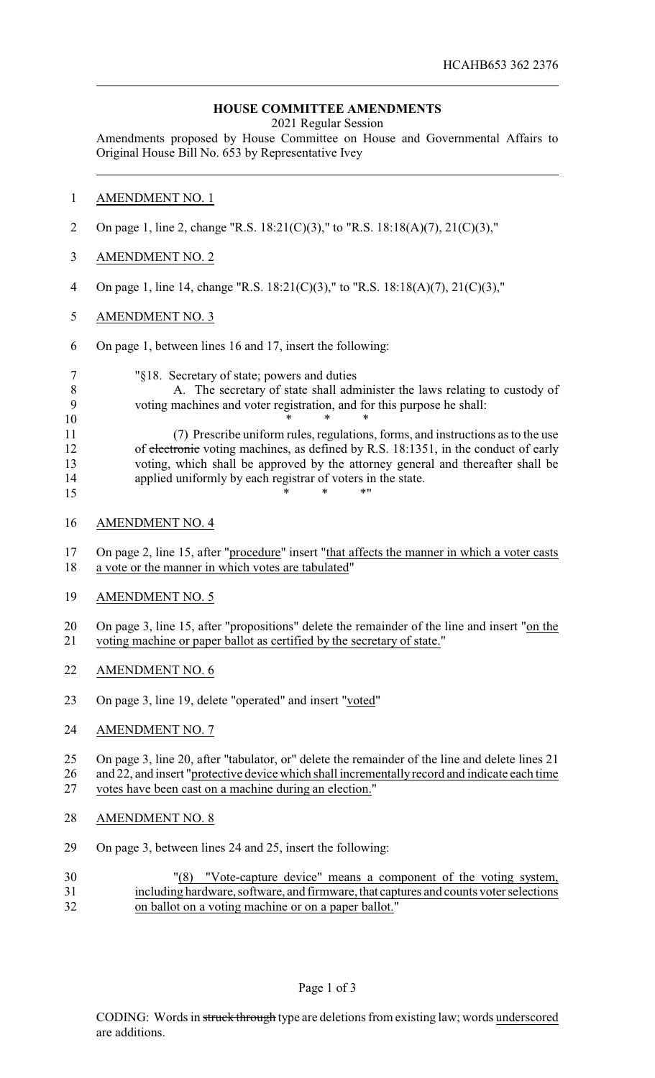## **HOUSE COMMITTEE AMENDMENTS**

2021 Regular Session

Amendments proposed by House Committee on House and Governmental Affairs to Original House Bill No. 653 by Representative Ivey

## AMENDMENT NO. 1

- On page 1, line 2, change "R.S. 18:21(C)(3)," to "R.S. 18:18(A)(7), 21(C)(3),"
- AMENDMENT NO. 2
- On page 1, line 14, change "R.S. 18:21(C)(3)," to "R.S. 18:18(A)(7), 21(C)(3),"
- AMENDMENT NO. 3
- On page 1, between lines 16 and 17, insert the following:

"§18. Secretary of state; powers and duties

 A. The secretary of state shall administer the laws relating to custody of voting machines and voter registration, and for this purpose he shall: \* \* \*

 (7) Prescribe uniform rules, regulations, forms, and instructions as to the use 12 of electronic voting machines, as defined by R.S. 18:1351, in the conduct of early voting, which shall be approved by the attorney general and thereafter shall be applied uniformly by each registrar of voters in the state. \* \* \* \* "

AMENDMENT NO. 4

 On page 2, line 15, after "procedure" insert "that affects the manner in which a voter casts a vote or the manner in which votes are tabulated"

AMENDMENT NO. 5

20 On page 3, line 15, after "propositions" delete the remainder of the line and insert "on the voting machine or paper ballot as certified by the secretary of state."

- AMENDMENT NO. 6
- On page 3, line 19, delete "operated" and insert "voted"
- AMENDMENT NO. 7

 On page 3, line 20, after "tabulator, or" delete the remainder of the line and delete lines 21 26 and 22, and insert "protective device which shall incrementally record and indicate each time

votes have been cast on a machine during an election."

- AMENDMENT NO. 8
- On page 3, between lines 24 and 25, insert the following:
- "(8) "Vote-capture device" means a component of the voting system, including hardware, software, and firmware, that captures and counts voter selections on ballot on a voting machine or on a paper ballot."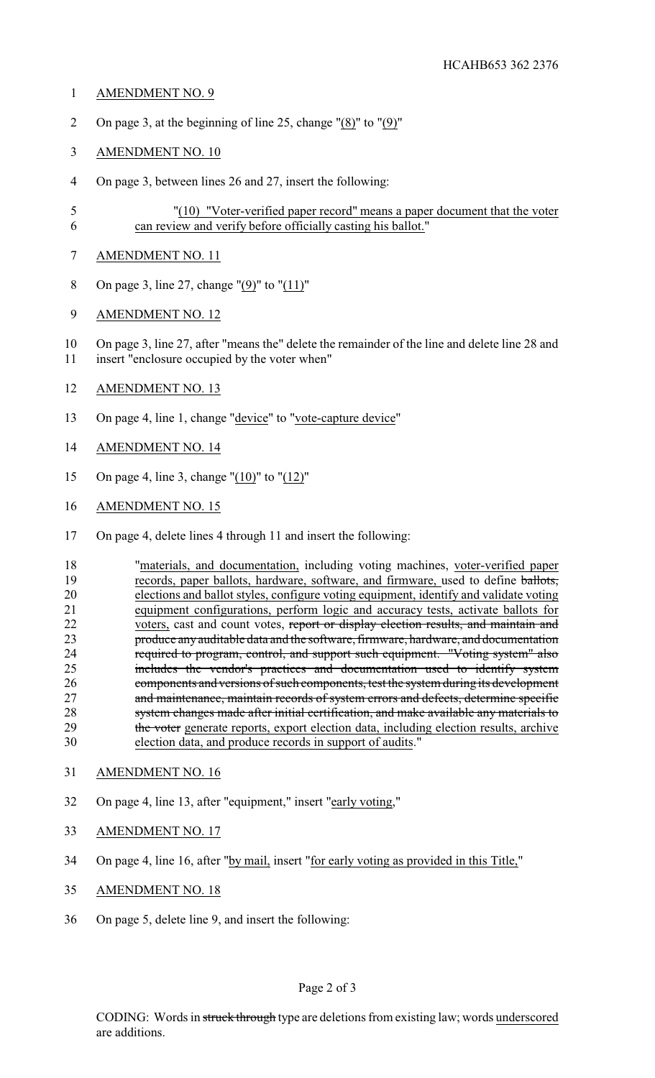- AMENDMENT NO. 9
- On page 3, at the beginning of line 25, change "(8)" to "(9)"
- AMENDMENT NO. 10
- On page 3, between lines 26 and 27, insert the following:
- "(10) "Voter-verified paper record" means a paper document that the voter can review and verify before officially casting his ballot."
- AMENDMENT NO. 11
- On page 3, line 27, change "(9)" to "(11)"
- AMENDMENT NO. 12
- On page 3, line 27, after "means the" delete the remainder of the line and delete line 28 and insert "enclosure occupied by the voter when"
- AMENDMENT NO. 13
- 13 On page 4, line 1, change "device" to "vote-capture device"
- AMENDMENT NO. 14
- On page 4, line 3, change "(10)" to "(12)"
- AMENDMENT NO. 15
- On page 4, delete lines 4 through 11 and insert the following:
- "materials, and documentation, including voting machines, voter-verified paper records, paper ballots, hardware, software, and firmware, used to define ballots, elections and ballot styles, configure voting equipment, identify and validate voting 21 equipment configurations, perform logic and accuracy tests, activate ballots for voters, cast and count votes, report or display election results, and maintain and 22 voters, cast and count votes, report or display election results, and maintain and<br>23 roduce any auditable data and the software, firmware, hardware, and documentation produce any auditable data and the software, firmware, hardware, and documentation required to program, control, and support such equipment. "Voting system" also includes the vendor's practices and documentation used to identify system components and versions of such components, test the system during its development 27 and maintenance, maintain records of system errors and defects, determine specific 28 system changes made after initial certification, and make available any materials to 29 the voter generate reports, export election data, including election results, archive election data, and produce records in support of audits."
- AMENDMENT NO. 16
- On page 4, line 13, after "equipment," insert "early voting,"
- AMENDMENT NO. 17
- On page 4, line 16, after "by mail, insert "for early voting as provided in this Title,"
- AMENDMENT NO. 18
- On page 5, delete line 9, and insert the following: